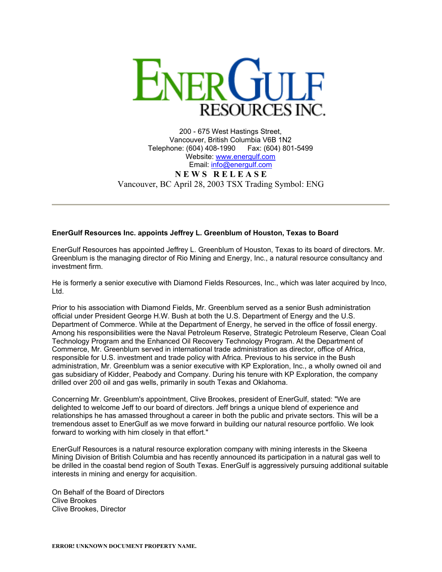

200 - 675 West Hastings Street, Vancouver, British Columbia V6B 1N2 Telephone: (604) 408-1990 Fax: (604) 801-5499 Website: [www.energulf.com](http://www.energulf.com/) Email: [info@energulf.com](mailto:info@energulf.com) **N E W S R E L E A S E** Vancouver, BC April 28, 2003 TSX Trading Symbol: ENG

## **EnerGulf Resources Inc. appoints Jeffrey L. Greenblum of Houston, Texas to Board**

EnerGulf Resources has appointed Jeffrey L. Greenblum of Houston, Texas to its board of directors. Mr. Greenblum is the managing director of Rio Mining and Energy, Inc., a natural resource consultancy and investment firm.

He is formerly a senior executive with Diamond Fields Resources, Inc., which was later acquired by Inco, Ltd.

Prior to his association with Diamond Fields, Mr. Greenblum served as a senior Bush administration official under President George H.W. Bush at both the U.S. Department of Energy and the U.S. Department of Commerce. While at the Department of Energy, he served in the office of fossil energy. Among his responsibilities were the Naval Petroleum Reserve, Strategic Petroleum Reserve, Clean Coal Technology Program and the Enhanced Oil Recovery Technology Program. At the Department of Commerce, Mr. Greenblum served in international trade administration as director, office of Africa, responsible for U.S. investment and trade policy with Africa. Previous to his service in the Bush administration, Mr. Greenblum was a senior executive with KP Exploration, Inc., a wholly owned oil and gas subsidiary of Kidder, Peabody and Company. During his tenure with KP Exploration, the company drilled over 200 oil and gas wells, primarily in south Texas and Oklahoma.

Concerning Mr. Greenblum's appointment, Clive Brookes, president of EnerGulf, stated: "We are delighted to welcome Jeff to our board of directors. Jeff brings a unique blend of experience and relationships he has amassed throughout a career in both the public and private sectors. This will be a tremendous asset to EnerGulf as we move forward in building our natural resource portfolio. We look forward to working with him closely in that effort."

EnerGulf Resources is a natural resource exploration company with mining interests in the Skeena Mining Division of British Columbia and has recently announced its participation in a natural gas well to be drilled in the coastal bend region of South Texas. EnerGulf is aggressively pursuing additional suitable interests in mining and energy for acquisition.

On Behalf of the Board of Directors Clive Brookes Clive Brookes, Director